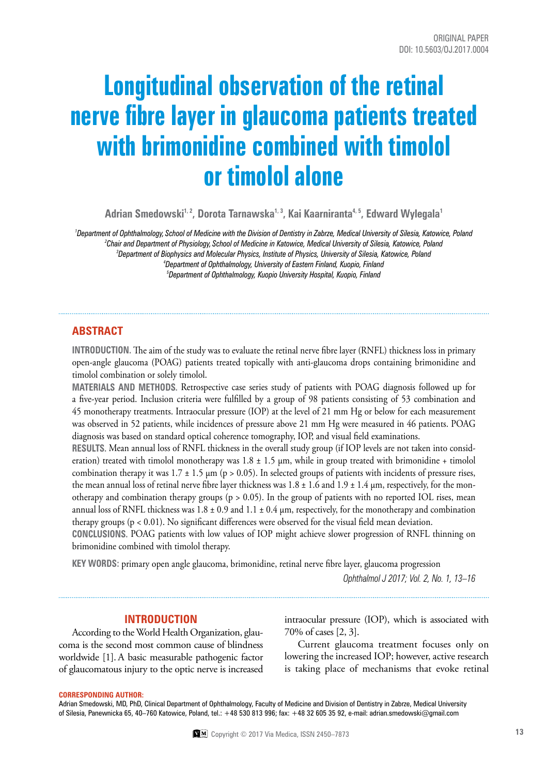# **Longitudinal observation of the retinal nerve fibre layer in glaucoma patients treated with brimonidine combined with timolol or timolol alone**

Adrian Smedowski<sup>1, 2</sup>, Dorota Tarnawska<sup>1, 3</sup>, Kai Kaarniranta<sup>4, 5</sup>, Edward Wylegala<sup>1</sup>

 *Department of Ophthalmology, School of Medicine with the Division of Dentistry in Zabrze, Medical University of Silesia, Katowice, Poland Chair and Department of Physiology, School of Medicine in Katowice, Medical University of Silesia, Katowice, Poland Department of Biophysics and Molecular Physics, Institute of Physics, University of Silesia, Katowice, Poland Department of Ophthalmology, University of Eastern Finland, Kuopio, Finland Department of Ophthalmology, Kuopio University Hospital, Kuopio, Finland*

# **ABSTRACT**

**INTRODUCTION.** The aim of the study was to evaluate the retinal nerve fibre layer (RNFL) thickness loss in primary open-angle glaucoma (POAG) patients treated topically with anti-glaucoma drops containing brimonidine and timolol combination or solely timolol.

**MATERIALS AND METHODS.** Retrospective case series study of patients with POAG diagnosis followed up for a five-year period. Inclusion criteria were fulfilled by a group of 98 patients consisting of 53 combination and 45 monotherapy treatments. Intraocular pressure (IOP) at the level of 21 mm Hg or below for each measurement was observed in 52 patients, while incidences of pressure above 21 mm Hg were measured in 46 patients. POAG diagnosis was based on standard optical coherence tomography, IOP, and visual field examinations.

**RESULTS.** Mean annual loss of RNFL thickness in the overall study group (if IOP levels are not taken into consideration) treated with timolol monotherapy was  $1.8 \pm 1.5$  µm, while in group treated with brimonidine + timolol combination therapy it was  $1.7 \pm 1.5$   $\mu$ m (p > 0.05). In selected groups of patients with incidents of pressure rises, the mean annual loss of retinal nerve fibre layer thickness was  $1.8 \pm 1.6$  and  $1.9 \pm 1.4$  µm, respectively, for the monotherapy and combination therapy groups (p > 0.05). In the group of patients with no reported IOL rises, mean annual loss of RNFL thickness was  $1.8 \pm 0.9$  and  $1.1 \pm 0.4$  µm, respectively, for the monotherapy and combination therapy groups ( $p < 0.01$ ). No significant differences were observed for the visual field mean deviation.

**CONCLUSIONS.** POAG patients with low values of IOP might achieve slower progression of RNFL thinning on brimonidine combined with timolol therapy.

**KEY WORDS:** primary open angle glaucoma, brimonidine, retinal nerve fibre layer, glaucoma progression

*Ophthalmol J 2017; Vol. 2, No. 1, 13–16*

# **INTRODUCTION**

According to the World Health Organization, glaucoma is the second most common cause of blindness worldwide [1]. A basic measurable pathogenic factor of glaucomatous injury to the optic nerve is increased intraocular pressure (IOP), which is associated with 70% of cases [2, 3].

Current glaucoma treatment focuses only on lowering the increased IOP; however, active research is taking place of mechanisms that evoke retinal

#### **Corresponding author:**

Adrian Smedowski, MD, PhD, Clinical Department of Ophthalmology, Faculty of Medicine and Division of Dentistry in Zabrze, Medical University of Silesia, Panewnicka 65, 40–760 Katowice, Poland, tel.: +48 530 813 996; fax: +48 32 605 35 92, e-mail: adrian.smedowski@gmail.com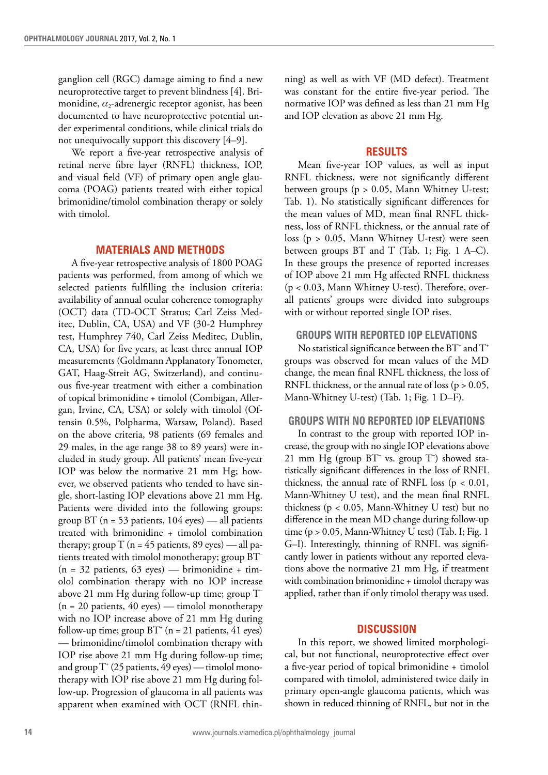ganglion cell (RGC) damage aiming to find a new neuroprotective target to prevent blindness [4]. Brimonidine,  $\alpha_2$ -adrenergic receptor agonist, has been documented to have neuroprotective potential under experimental conditions, while clinical trials do not unequivocally support this discovery [4–9].

We report a five-year retrospective analysis of retinal nerve fibre layer (RNFL) thickness, IOP, and visual field (VF) of primary open angle glaucoma (POAG) patients treated with either topical brimonidine/timolol combination therapy or solely with timolol.

### **MATERIALS AND METHODS**

A five-year retrospective analysis of 1800 POAG patients was performed, from among of which we selected patients fulfilling the inclusion criteria: availability of annual ocular coherence tomography (OCT) data (TD-OCT Stratus; Carl Zeiss Meditec, Dublin, CA, USA) and VF (30-2 Humphrey test, Humphrey 740, Carl Zeiss Meditec, Dublin, CA, USA) for five years, at least three annual IOP measurements (Goldmann Applanatory Tonometer, GAT, Haag-Streit AG, Switzerland), and continuous five-year treatment with either a combination of topical brimonidine + timolol (Combigan, Allergan, Irvine, CA, USA) or solely with timolol (Oftensin 0.5%, Polpharma, Warsaw, Poland). Based on the above criteria, 98 patients (69 females and 29 males, in the age range 38 to 89 years) were included in study group. All patients' mean five-year IOP was below the normative 21 mm Hg; however, we observed patients who tended to have single, short-lasting IOP elevations above 21 mm Hg. Patients were divided into the following groups: group BT (n = 53 patients, 104 eyes) *—* all patients treated with brimonidine + timolol combination therapy; group T (n = 45 patients, 89 eyes) *—* all patients treated with timolol monotherapy; group BT– (n = 32 patients, 63 eyes) *—* brimonidine + timolol combination therapy with no IOP increase above 21 mm Hg during follow-up time; group T– (n = 20 patients, 40 eyes) *—* timolol monotherapy with no IOP increase above of 21 mm Hg during follow-up time; group  $BT^*$  (n = 21 patients, 41 eyes) *—* brimonidine/timolol combination therapy with IOP rise above 21 mm Hg during follow-up time; and group T<sup>+</sup> (25 patients, 49 eyes) — timolol monotherapy with IOP rise above 21 mm Hg during follow-up. Progression of glaucoma in all patients was apparent when examined with OCT (RNFL thinning) as well as with VF (MD defect). Treatment was constant for the entire five-year period. The normative IOP was defined as less than 21 mm Hg and IOP elevation as above 21 mm Hg.

# **RESULTS**

Mean five-year IOP values, as well as input RNFL thickness, were not significantly different between groups (p > 0.05, Mann Whitney U-test; Tab. 1). No statistically significant differences for the mean values of MD, mean final RNFL thickness, loss of RNFL thickness, or the annual rate of loss (p > 0.05, Mann Whitney U-test) were seen between groups BT and T (Tab. 1; Fig. 1 A–C). In these groups the presence of reported increases of IOP above 21 mm Hg affected RNFL thickness (p < 0.03, Mann Whitney U-test). Therefore, overall patients' groups were divided into subgroups with or without reported single IOP rises.

# **GROUPS WITH REPORTED IOP ELEVATIONS**

No statistical significance between the BT<sup>+</sup> and T<sup>+</sup> groups was observed for mean values of the MD change, the mean final RNFL thickness, the loss of RNFL thickness, or the annual rate of loss ( $p > 0.05$ , Mann-Whitney U-test) (Tab. 1; Fig. 1 D–F).

# **GROUPS WITH NO REPORTED IOP ELEVATIONS**

In contrast to the group with reported IOP increase, the group with no single IOP elevations above 21 mm Hg (group BT– vs. group T– ) showed statistically significant differences in the loss of RNFL thickness, the annual rate of RNFL loss ( $p < 0.01$ , Mann-Whitney U test), and the mean final RNFL thickness (p < 0.05, Mann-Whitney U test) but no difference in the mean MD change during follow-up time ( $p > 0.05$ , Mann-Whitney U test) (Tab. I; Fig. 1 G–I). Interestingly, thinning of RNFL was significantly lower in patients without any reported elevations above the normative 21 mm Hg, if treatment with combination brimonidine + timolol therapy was applied, rather than if only timolol therapy was used.

## **DISCUSSION**

In this report, we showed limited morphological, but not functional, neuroprotective effect over a five-year period of topical brimonidine + timolol compared with timolol, administered twice daily in primary open-angle glaucoma patients, which was shown in reduced thinning of RNFL, but not in the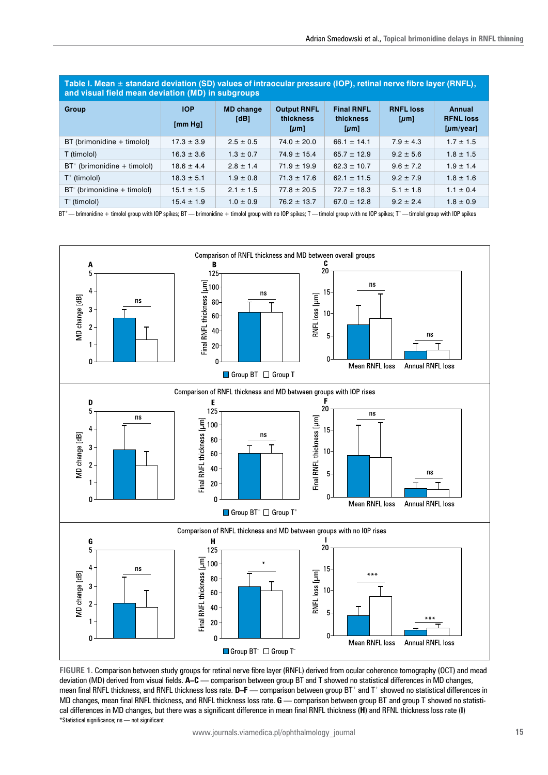**Table I. Mean ± standard deviation (SD) values of intraocular pressure (IOP), retinal nerve fibre layer (RNFL), and visual field mean deviation (MD) in subgroups**

| Group                          | <b>IOP</b><br>[mm Hg] | <b>MD</b> change<br>[dB] | <b>Output RNFL</b><br>thickness<br>$[\mu m]$ | <b>Final RNFL</b><br>thickness<br>$[\mu m]$ | <b>RNFL loss</b><br>$[\mu m]$ | Annual<br><b>RFNL loss</b><br>[µm/year] |
|--------------------------------|-----------------------|--------------------------|----------------------------------------------|---------------------------------------------|-------------------------------|-----------------------------------------|
| BT (brimonidine + timolol)     | $17.3 \pm 3.9$        | $2.5 \pm 0.5$            | $74.0 \pm 20.0$                              | $66.1 \pm 14.1$                             | $7.9 \pm 4.3$                 | $1.7 \pm 1.5$                           |
| T (timolol)                    | $16.3 \pm 3.6$        | $1.3 \pm 0.7$            | $74.9 \pm 15.4$                              | $65.7 \pm 12.9$                             | $9.2 \pm 5.6$                 | $1.8 \pm 1.5$                           |
| $BT^+$ (brimonidine + timolol) | $18.6 \pm 4.4$        | $2.8 \pm 1.4$            | $71.9 \pm 19.9$                              | $62.3 \pm 10.7$                             | $9.6 \pm 7.2$                 | $1.9 \pm 1.4$                           |
| $T^+$ (timolol)                | $18.3 \pm 5.1$        | $1.9 \pm 0.8$            | $71.3 \pm 17.6$                              | $62.1 \pm 11.5$                             | $9.2 \pm 7.9$                 | $1.8 \pm 1.6$                           |
| $BT^-$ (brimonidine + timolol) | $15.1 \pm 1.5$        | $2.1 \pm 1.5$            | $77.8 \pm 20.5$                              | $72.7 \pm 18.3$                             | $5.1 \pm 1.8$                 | $1.1 \pm 0.4$                           |
| $T-$ (timolol)                 | $15.4 \pm 1.9$        | $1.0 \pm 0.9$            | $76.2 \pm 13.7$                              | $67.0 \pm 12.8$                             | $9.2 \pm 2.4$                 | $1.8 \pm 0.9$                           |

BT\*—brimonidine + timolol group with IOP spikes; BT—brimonidine + timolol group with no IOP spikes; T—timolol group with no IOP spikes; T\*—timolol group with IOP spikes



**Figure 1.** Comparison between study groups for retinal nerve fibre layer (RNFL) derived from ocular coherence tomography (OCT) and mead deviation (MD) derived from visual fields. **A–C** — comparison between group BT and T showed no statistical differences in MD changes, mean final RNFL thickness, and RNFL thickness loss rate. **D–F** — comparison between group BT<sup>+</sup> and T<sup>+</sup> showed no statistical differences in MD changes, mean final RNFL thickness, and RNFL thickness loss rate. G — comparison between group BT and group T showed no statistical differences in MD changes, but there was a significant difference in mean final RNFL thickness (**H**) and RFNL thickness loss rate (**I**) \*Statistical significance; ns — not significant